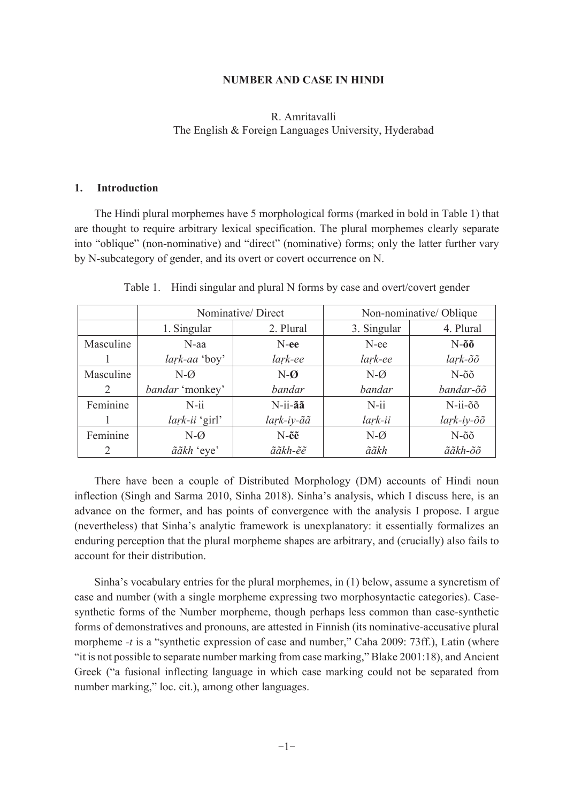## **NUMBER AND CASE IN HINDI**

# R. Amritavalli The English & Foreign Languages University, Hyderabad

#### $1.$ **Introduction**

The Hindi plural morphemes have 5 morphological forms (marked in bold in Table 1) that are thought to require arbitrary lexical specification. The plural morphemes clearly separate into "oblique" (non-nominative) and "direct" (nominative) forms; only the latter further vary by N-subcategory of gender, and its overt or covert occurrence on N.

|           |                 | Nominative/Direct       | Non-nominative/Oblique |                                          |  |
|-----------|-----------------|-------------------------|------------------------|------------------------------------------|--|
|           | 1. Singular     | 2. Plural               | 3. Singular            | 4. Plural                                |  |
| Masculine | $N$ -aa         | $N$ -ee                 | N-ee                   | $N$ -õõ<br>$lark$ - $\tilde{o}\tilde{o}$ |  |
|           | lark-aa 'boy'   | lark-ee                 | lark-ee                |                                          |  |
| Masculine | $N-\varnothing$ | $N-\boldsymbol{\omega}$ | $N-\varnothing$        | $N-\tilde{o}\tilde{o}$                   |  |
| 2         | bandar 'monkey' | bandar                  | bandar                 | bandar-õõ                                |  |
| Feminine  | $N$ -ii         | N-ii-ãã                 | $N$ -ii                | N-ii-õõ                                  |  |
|           | lark-ii 'girl'  | lark-iy-ãã              | lark-ii                | lark-iy-õõ                               |  |
| Feminine  | $N-\varnothing$ | $N-\tilde{e}\tilde{e}$  | $N-\varnothing$        | $N-\tilde{o}\tilde{o}$                   |  |
|           | ããkh 'eye'      | ããkh-ẽẽ                 | ããkh                   | ããkh-õõ                                  |  |

### Table 1. Hindi singular and plural N forms by case and overt/covert gender

There have been a couple of Distributed Morphology (DM) accounts of Hindi noun inflection (Singh and Sarma 2010, Sinha 2018). Sinha's analysis, which I discuss here, is an advance on the former, and has points of convergence with the analysis I propose. I argue (nevertheless) that Sinha's analytic framework is unexplanatory: it essentially formalizes an enduring perception that the plural morpheme shapes are arbitrary, and (crucially) also fails to account for their distribution.

Sinha's vocabulary entries for the plural morphemes, in (1) below, assume a syncretism of case and number (with a single morpheme expressing two morphosyntactic categories). Casesynthetic forms of the Number morpheme, though perhaps less common than case-synthetic forms of demonstratives and pronouns, are attested in Finnish (its nominative-accusative plural morpheme -t is a "synthetic expression of case and number," Caha 2009: 73ff.), Latin (where "it is not possible to separate number marking from case marking," Blake 2001:18), and Ancient Greek ("a fusional inflecting language in which case marking could not be separated from number marking," loc. cit.), among other languages.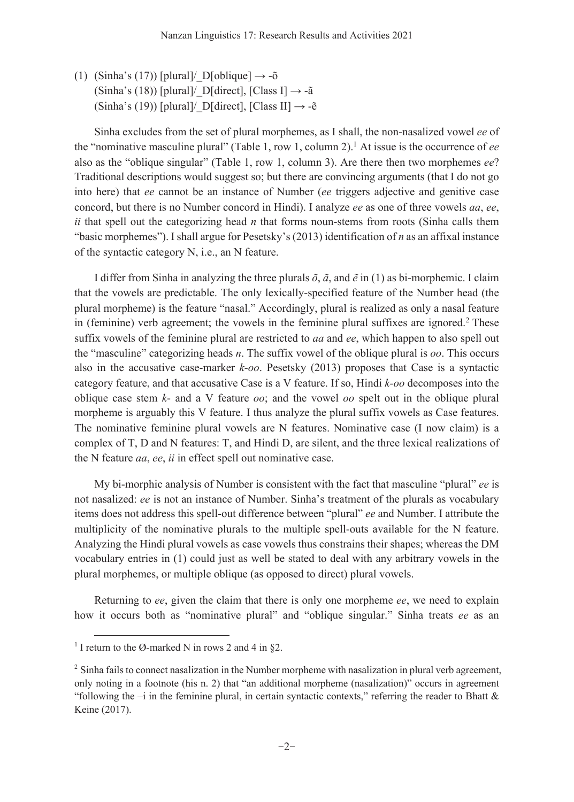(1) (Sinha's (17)) [plural]/  $D[oblique] \rightarrow -\delta$ (Sinha's (18)) [plural]/ D[direct], [Class I]  $\rightarrow$  -ã (Sinha's (19)) [plural]/ D[direct], [Class II]  $\rightarrow$  - $\tilde{e}$ 

Sinha excludes from the set of plural morphemes, as I shall, the non-nasalized vowel ee of the "nominative masculine plural" (Table 1, row 1, column 2).<sup>1</sup> At issue is the occurrence of ee also as the "oblique singular" (Table 1, row 1, column 3). Are there then two morphemes ee? Traditional descriptions would suggest so; but there are convincing arguments (that I do not go into here) that ee cannot be an instance of Number (ee triggers adjective and genitive case concord, but there is no Number concord in Hindi). I analyze ee as one of three vowels aa, ee, ii that spell out the categorizing head  $n$  that forms noun-stems from roots (Sinha calls them "basic morphemes"). I shall argue for Pesetsky's  $(2013)$  identification of *n* as an affixal instance of the syntactic category N, i.e., an N feature.

I differ from Sinha in analyzing the three plurals  $\tilde{o}$ ,  $\tilde{a}$ , and  $\tilde{e}$  in (1) as bi-morphemic. I claim that the vowels are predictable. The only lexically-specified feature of the Number head (the plural morpheme) is the feature "nasal." Accordingly, plural is realized as only a nasal feature in (feminine) verb agreement; the vowels in the feminine plural suffixes are ignored.<sup>2</sup> These suffix vowels of the feminine plural are restricted to *aa* and *ee*, which happen to also spell out the "masculine" categorizing heads *n*. The suffix vowel of the oblique plural is  $oo$ . This occurs also in the accusative case-marker  $k$ -oo. Pesetsky (2013) proposes that Case is a syntactic category feature, and that accusative Case is a V feature. If so, Hindi k-oo decomposes into the oblique case stem  $k$ - and a V feature  $oo$ ; and the vowel  $oo$  spelt out in the oblique plural morpheme is arguably this V feature. I thus analyze the plural suffix vowels as Case features. The nominative feminine plural vowels are N features. Nominative case (I now claim) is a complex of T, D and N features: T, and Hindi D, are silent, and the three lexical realizations of the N feature *aa*, ee, ii in effect spell out nominative case.

My bi-morphic analysis of Number is consistent with the fact that masculine "plural" ee is not nasalized: ee is not an instance of Number. Sinha's treatment of the plurals as vocabulary items does not address this spell-out difference between "plural" ee and Number. I attribute the multiplicity of the nominative plurals to the multiple spell-outs available for the N feature. Analyzing the Hindi plural vowels as case vowels thus constrains their shapes; whereas the DM vocabulary entries in (1) could just as well be stated to deal with any arbitrary vowels in the plural morphemes, or multiple oblique (as opposed to direct) plural vowels.

Returning to ee, given the claim that there is only one morpheme ee, we need to explain how it occurs both as "nominative plural" and "oblique singular." Sinha treats ee as an

<sup>&</sup>lt;sup>1</sup> I return to the Ø-marked N in rows 2 and 4 in §2.

<sup>&</sup>lt;sup>2</sup> Sinha fails to connect nasalization in the Number morpheme with nasalization in plural verb agreement, only noting in a footnote (his n. 2) that "an additional morpheme (nasalization)" occurs in agreement "following the  $-i$  in the feminine plural, in certain syntactic contexts," referring the reader to Bhatt  $\&$ Keine (2017).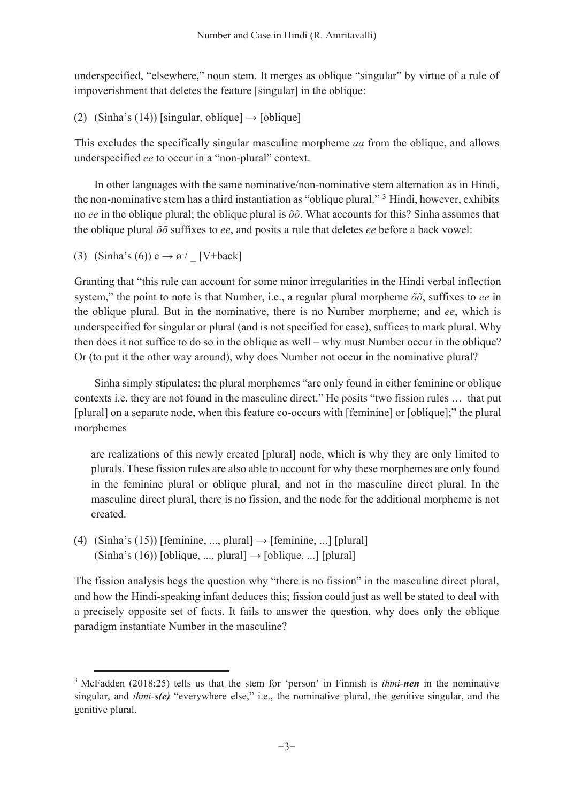underspecified, "elsewhere," noun stem. It merges as oblique "singular" by virtue of a rule of impoverishment that deletes the feature [singular] in the oblique:

(2) (Sinha's (14)) [singular, oblique]  $\rightarrow$  [oblique]

This excludes the specifically singular masculine morpheme *aa* from the oblique, and allows underspecified ee to occur in a "non-plural" context.

In other languages with the same nominative/non-nominative stem alternation as in Hindi, the non-nominative stem has a third instantiation as "oblique plural." <sup>3</sup> Hindi, however, exhibits no ee in the oblique plural; the oblique plural is  $\delta \delta$ . What accounts for this? Sinha assumes that the oblique plural  $\delta\delta$  suffixes to ee, and posits a rule that deletes ee before a back vowel:

(3) (Sinha's (6))  $e \rightarrow \emptyset$  [V+back]

Granting that "this rule can account for some minor irregularities in the Hindi verbal inflection system," the point to note is that Number, i.e., a regular plural morpheme  $\tilde{o}$ , suffixes to ee in the oblique plural. But in the nominative, there is no Number morpheme; and ee, which is underspecified for singular or plural (and is not specified for case), suffices to mark plural. Why then does it not suffice to do so in the oblique as well – why must Number occur in the oblique? Or (to put it the other way around), why does Number not occur in the nominative plural?

Sinha simply stipulates: the plural morphemes "are only found in either feminine or oblique contexts i.e. they are not found in the masculine direct." He posits "two fission rules ... that put [plural] on a separate node, when this feature co-occurs with [feminine] or [oblique];" the plural morphemes

are realizations of this newly created [plural] node, which is why they are only limited to plurals. These fission rules are also able to account for why these morphemes are only found in the feminine plural or oblique plural, and not in the masculine direct plural. In the masculine direct plural, there is no fission, and the node for the additional morpheme is not created.

(4) (Sinha's (15)) [feminine, ..., plural]  $\rightarrow$  [feminine, ...] [plural] (Sinha's (16)) [oblique, ..., plural]  $\rightarrow$  [oblique, ...] [plural]

The fission analysis begs the question why "there is no fission" in the masculine direct plural, and how the Hindi-speaking infant deduces this; fission could just as well be stated to deal with a precisely opposite set of facts. It fails to answer the question, why does only the oblique paradigm instantiate Number in the masculine?

<sup>&</sup>lt;sup>3</sup> McFadden (2018:25) tells us that the stem for 'person' in Finnish is *ihmi-nen* in the nominative singular, and  $ihmi-s(e)$  "everywhere else," i.e., the nominative plural, the genitive singular, and the genitive plural.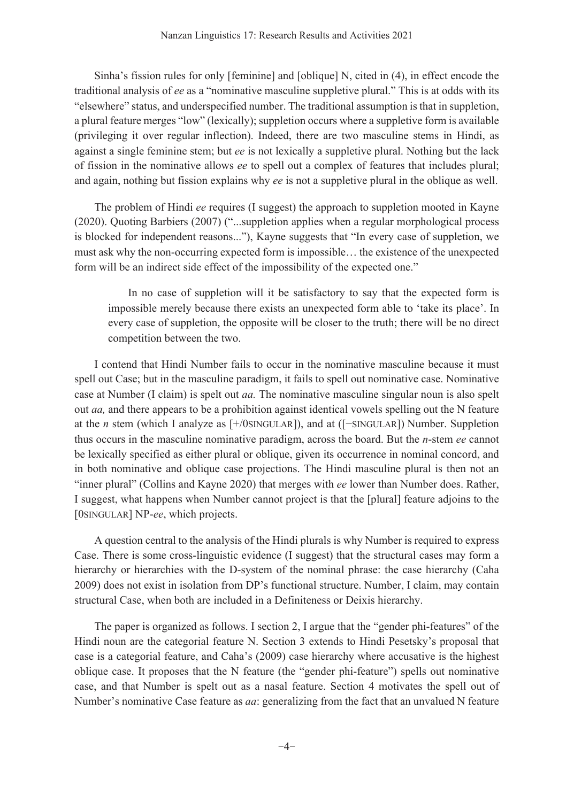Sinha's fission rules for only [feminine] and [oblique] N, cited in (4), in effect encode the traditional analysis of ee as a "nominative masculine suppletive plural." This is at odds with its "elsewhere" status, and underspecified number. The traditional assumption is that in suppletion, a plural feature merges "low" (lexically); suppletion occurs where a suppletive form is available (privileging it over regular inflection). Indeed, there are two masculine stems in Hindi, as against a single feminine stem; but ee is not lexically a suppletive plural. Nothing but the lack of fission in the nominative allows ee to spell out a complex of features that includes plural; and again, nothing but fission explains why ee is not a suppletive plural in the oblique as well.

The problem of Hindi ee requires (I suggest) the approach to suppletion mooted in Kayne (2020). Quoting Barbiers (2007) ("...suppletion applies when a regular morphological process is blocked for independent reasons..."), Kayne suggests that "In every case of suppletion, we must ask why the non-occurring expected form is impossible... the existence of the unexpected form will be an indirect side effect of the impossibility of the expected one."

In no case of suppletion will it be satisfactory to say that the expected form is impossible merely because there exists an unexpected form able to 'take its place'. In every case of suppletion, the opposite will be closer to the truth; there will be no direct competition between the two.

I contend that Hindi Number fails to occur in the nominative masculine because it must spell out Case; but in the masculine paradigm, it fails to spell out nominative case. Nominative case at Number (I claim) is spelt out *aa*. The nominative masculine singular noun is also spelt out *aa*, and there appears to be a prohibition against identical vowels spelling out the N feature at the *n* stem (which I analyze as  $[+/OSINGULAR]$ ), and at  $([-SINGULAR])$  Number. Suppletion thus occurs in the masculine nominative paradigm, across the board. But the *n*-stem ee cannot be lexically specified as either plural or oblique, given its occurrence in nominal concord, and in both nominative and oblique case projections. The Hindi masculine plural is then not an "inner plural" (Collins and Kayne 2020) that merges with ee lower than Number does. Rather, I suggest, what happens when Number cannot project is that the [plural] feature adjoins to the [OSINGULAR] NP-ee, which projects.

A question central to the analysis of the Hindi plurals is why Number is required to express Case. There is some cross-linguistic evidence (I suggest) that the structural cases may form a hierarchy or hierarchies with the D-system of the nominal phrase: the case hierarchy (Caha 2009) does not exist in isolation from DP's functional structure. Number, I claim, may contain structural Case, when both are included in a Definiteness or Deixis hierarchy.

The paper is organized as follows. I section 2, I argue that the "gender phi-features" of the Hindi noun are the categorial feature N. Section 3 extends to Hindi Pesetsky's proposal that case is a categorial feature, and Caha's (2009) case hierarchy where accusative is the highest oblique case. It proposes that the N feature (the "gender phi-feature") spells out nominative case, and that Number is spelt out as a nasal feature. Section 4 motivates the spell out of Number's nominative Case feature as *aa*: generalizing from the fact that an unvalued N feature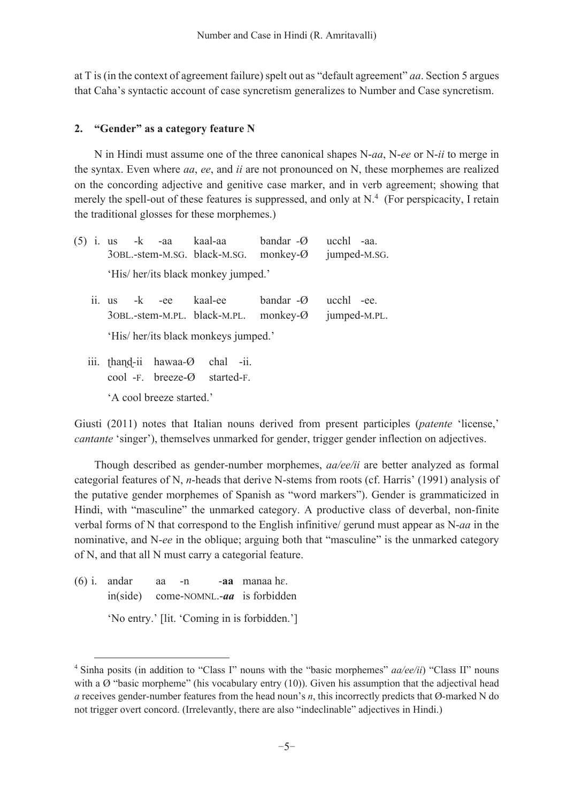at T is (in the context of agreement failure) spelt out as "default agreement" *aa*. Section 5 argues that Caha's syntactic account of case syncretism generalizes to Number and Case syncretism.

# 2. "Gender" as a category feature N

N in Hindi must assume one of the three canonical shapes N-aa, N-ee or N-ii to merge in the syntax. Even where  $aa$ ,  $ee$ , and  $ii$  are not pronounced on N, these morphemes are realized on the concording adjective and genitive case marker, and in verb agreement; showing that merely the spell-out of these features is suppressed, and only at  $N<sup>4</sup>$  (For perspicacity, I retain the traditional glosses for these morphemes.)

|                          |                                      |  |  | $(5)$ i. us -k -aa kaal-aa bandar - $\varnothing$<br>30BL.-stem-M.SG. black-M.SG. monkey-Ø |                       | ucchl -aa.<br>jumped-M.SG. |  |  |  |  |
|--------------------------|--------------------------------------|--|--|--------------------------------------------------------------------------------------------|-----------------------|----------------------------|--|--|--|--|
|                          | 'His/her/its black monkey jumped.'   |  |  |                                                                                            |                       |                            |  |  |  |  |
|                          |                                      |  |  | ii. us -k -ee kaal-ee<br>$3$ OBL.-stem-M.PL. black-M.PL. monkey- $\varnothing$             | bandar $-\varnothing$ | ucchl -ee.<br>jumped-M.PL. |  |  |  |  |
|                          | 'His/ her/its black monkeys jumped.' |  |  |                                                                                            |                       |                            |  |  |  |  |
|                          |                                      |  |  | iii. thand-ii hawaa-Ø chal -ii.<br>cool -F. breeze- $\emptyset$ started-F.                 |                       |                            |  |  |  |  |
| 'A cool breeze started.' |                                      |  |  |                                                                                            |                       |                            |  |  |  |  |

Giusti (2011) notes that Italian nouns derived from present participles (*patente* 'license,' *cantante* 'singer'), themselves unmarked for gender, trigger gender inflection on adjectives.

Though described as gender-number morphemes, *aa/ee/ii* are better analyzed as formal categorial features of N, n-heads that derive N-stems from roots (cf. Harris' (1991) analysis of the putative gender morphemes of Spanish as "word markers"). Gender is grammaticized in Hindi, with "masculine" the unmarked category. A productive class of deverbal, non-finite verbal forms of N that correspond to the English infinitive/ gerund must appear as  $N$ -*a i*n the nominative, and N-ee in the oblique; arguing both that "masculine" is the unmarked category of N, and that all N must carry a categorial feature.

 $(6)$  i. and ar -aa manaa he. aa  $-n$  $in(side)$ come-NOMNL.- $aa$  is forbidden 'No entry.' [lit. 'Coming in is forbidden.']

<sup>&</sup>lt;sup>4</sup> Sinha posits (in addition to "Class I" nouns with the "basic morphemes"  $aa/ee/ii$ " Class II" nouns with a  $\varnothing$  "basic morpheme" (his vocabulary entry (10)). Given his assumption that the adjectival head a receives gender-number features from the head noun's  $n$ , this incorrectly predicts that  $\varnothing$ -marked N do not trigger overt concord. (Irrelevantly, there are also "indeclinable" adjectives in Hindi.)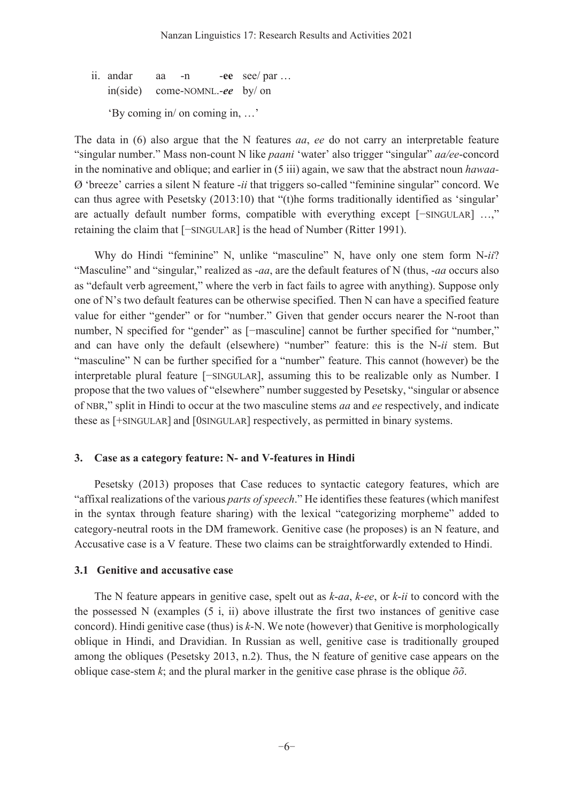ii. andar aa  $-n$ -ee see/par ...  $in(side)$ come-NOMNL.-ee by/on 'By coming in' on coming in, ...'

The data in  $(6)$  also argue that the N features aa, ee do not carry an interpretable feature "singular number." Mass non-count N like paani 'water' also trigger "singular" aa/ee-concord in the nominative and oblique; and earlier in  $(5 \text{ iii})$  again, we saw that the abstract noun hawaa- $\varnothing$  'breeze' carries a silent N feature -ii that triggers so-called "feminine singular" concord. We can thus agree with Pesetsky  $(2013:10)$  that "(t) he forms traditionally identified as 'singular' are actually default number forms, compatible with everything except [-SINGULAR] ...," retaining the claim that [-SINGULAR] is the head of Number (Ritter 1991).

Why do Hindi "feminine" N, unlike "masculine" N, have only one stem form N-ii? "Masculine" and "singular," realized as *-aa*, are the default features of N (thus, *-aa* occurs also as "default verb agreement," where the verb in fact fails to agree with anything). Suppose only one of N's two default features can be otherwise specified. Then N can have a specified feature value for either "gender" or for "number." Given that gender occurs nearer the N-root than number, N specified for "gender" as [-masculine] cannot be further specified for "number," and can have only the default (elsewhere) "number" feature: this is the N-ii stem. But "masculine" N can be further specified for a "number" feature. This cannot (however) be the interpretable plural feature [-SINGULAR], assuming this to be realizable only as Number. I propose that the two values of "elsewhere" number suggested by Pesetsky, "singular or absence of NBR," split in Hindi to occur at the two masculine stems aa and ee respectively, and indicate these as [+SINGULAR] and [0SINGULAR] respectively, as permitted in binary systems.

# 3. Case as a category feature: N- and V-features in Hindi

Pesetsky (2013) proposes that Case reduces to syntactic category features, which are "affixal realizations of the various parts of speech." He identifies these features (which manifest in the syntax through feature sharing) with the lexical "categorizing morpheme" added to category-neutral roots in the DM framework. Genitive case (he proposes) is an N feature, and Accusative case is a V feature. These two claims can be straightforwardly extended to Hindi.

# 3.1 Genitive and accusative case

The N feature appears in genitive case, spelt out as  $k$ -aa,  $k$ -ee, or  $k$ -ii to concord with the the possessed  $N$  (examples  $(5 \text{ i}, \text{ ii})$  above illustrate the first two instances of genitive case concord). Hindi genitive case (thus) is  $k$ -N. We note (however) that Genitive is morphologically oblique in Hindi, and Dravidian. In Russian as well, genitive case is traditionally grouped among the obliques (Pesetsky 2013, n.2). Thus, the N feature of genitive case appears on the oblique case-stem k; and the plural marker in the genitive case phrase is the oblique  $\delta \delta$ .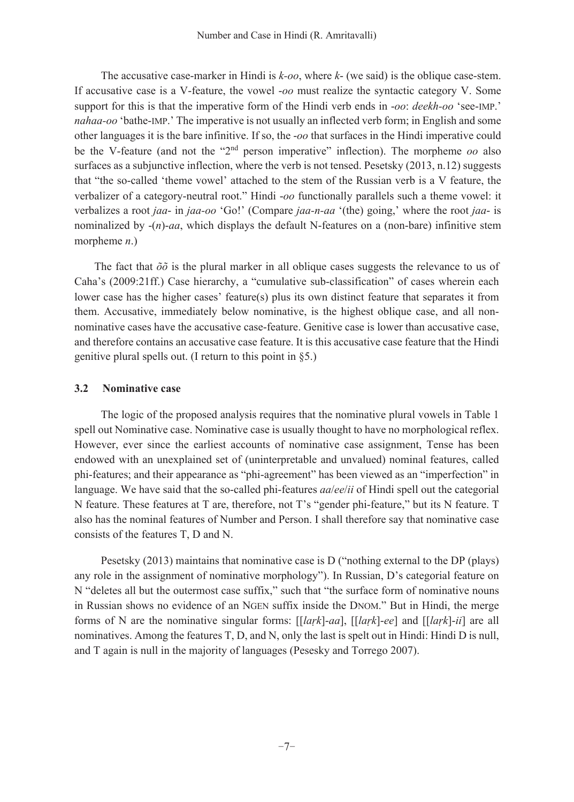The accusative case-marker in Hindi is  $k$ -oo, where  $k$ - (we said) is the oblique case-stem. If accusative case is a V-feature, the vowel -oo must realize the syntactic category V. Some support for this is that the imperative form of the Hindi verb ends in -oo: deekh-oo 'see-IMP.' nahaa-oo 'bathe-IMP.' The imperative is not usually an inflected verb form; in English and some other languages it is the bare infinitive. If so, the -oo that surfaces in the Hindi imperative could be the V-feature (and not the "2<sup>nd</sup> person imperative" inflection). The morpheme oo also surfaces as a subjunctive inflection, where the verb is not tensed. Pesetsky (2013, n.12) suggests that "the so-called 'theme vowel' attached to the stem of the Russian verb is a V feature, the verbalizer of a category-neutral root." Hindi -oo functionally parallels such a theme vowel: it verbalizes a root jaa- in jaa-oo 'Go!' (Compare jaa-n-aa '(the) going,' where the root jaa- is nominalized by  $-(n)$ -*aa*, which displays the default N-features on a (non-bare) infinitive stem morpheme  $n$ .)

The fact that  $\delta \delta$  is the plural marker in all oblique cases suggests the relevance to us of Caha's (2009:21ff.) Case hierarchy, a "cumulative sub-classification" of cases wherein each lower case has the higher cases' feature(s) plus its own distinct feature that separates it from them. Accusative, immediately below nominative, is the highest oblique case, and all nonnominative cases have the accusative case-feature. Genitive case is lower than accusative case, and therefore contains an accusative case feature. It is this accusative case feature that the Hindi genitive plural spells out. (I return to this point in  $\S$ 5.)

#### $3.2$ **Nominative case**

The logic of the proposed analysis requires that the nominative plural vowels in Table 1 spell out Nominative case. Nominative case is usually thought to have no morphological reflex. However, ever since the earliest accounts of nominative case assignment, Tense has been endowed with an unexplained set of (uninterpretable and unvalued) nominal features, called phi-features; and their appearance as "phi-agreement" has been viewed as an "imperfection" in language. We have said that the so-called phi-features *aaleelii* of Hindi spell out the categorial N feature. These features at T are, therefore, not T's "gender phi-feature," but its N feature. T also has the nominal features of Number and Person. I shall therefore say that nominative case consists of the features T, D and N.

Pesetsky (2013) maintains that nominative case is  $D$  ("nothing external to the DP (plays) any role in the assignment of nominative morphology"). In Russian, D's categorial feature on N "deletes all but the outermost case suffix," such that "the surface form of nominative nouns in Russian shows no evidence of an NGEN suffix inside the DNOM." But in Hindi, the merge forms of N are the nominative singular forms:  $[[\ell]$  [[ark]-aa],  $[[\ell]$  [[ark]-ee] and  $[[\ell]$  are all nominatives. Among the features  $T$ , D, and N, only the last is spelt out in Hindi: Hindi D is null, and T again is null in the majority of languages (Pesesky and Torrego 2007).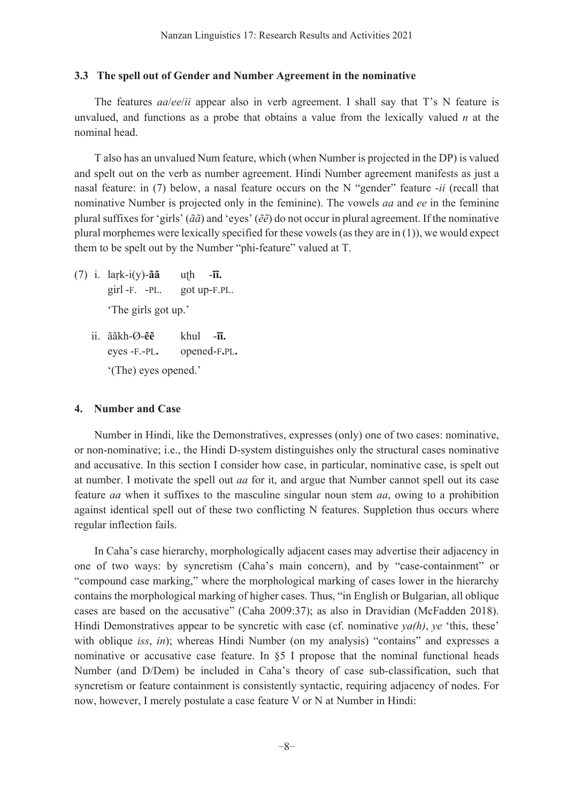## 3.3 The spell out of Gender and Number Agreement in the nominative

The features *aa/ee/ii* appear also in verb agreement. I shall say that T's N feature is unvalued, and functions as a probe that obtains a value from the lexically valued  $n$  at the nominal head.

T also has an unvalued Num feature, which (when Number is projected in the DP) is valued and spelt out on the verb as number agreement. Hindi Number agreement manifests as just a nasal feature: in (7) below, a nasal feature occurs on the N "gender" feature -ii (recall that nominative Number is projected only in the feminine). The vowels *aa* and *ee* in the feminine plural suffixes for 'girls' ( $\tilde{a}\tilde{a}$ ) and 'eyes' ( $\tilde{e}\tilde{e}$ ) do not occur in plural agreement. If the nominative plural morphemes were lexically specified for these vowels (as they are in  $(1)$ ), we would expect them to be spelt out by the Number "phi-feature" valued at T.

- $(7)$  i. lark-i(y)-ãã uth  $-\overline{\mathbf{u}}$ .  $\pi$ l -F. -PL. got up-F.PL. 'The girls got up.'
	- $i$ .  $\tilde{a}$  $\tilde{a}$ kh- $\tilde{a}$ - $\tilde{e}$  $khu$   $-\tilde{\mathbf{u}}$ . eyes -F.-PL. opened-F.PL. '(The) eyes opened.'

## 4. Number and Case

Number in Hindi, like the Demonstratives, expresses (only) one of two cases: nominative, or non-nominative; i.e., the Hindi D-system distinguishes only the structural cases nominative and accusative. In this section I consider how case, in particular, nominative case, is spelt out at number. I motivate the spell out *aa* for it, and argue that Number cannot spell out its case feature *aa* when it suffixes to the masculine singular noun stem *aa*, owing to a prohibition against identical spell out of these two conflicting N features. Suppletion thus occurs where regular inflection fails.

In Caha's case hierarchy, morphologically adjacent cases may advertise their adjacency in one of two ways: by syncretism (Caha's main concern), and by "case-containment" or "compound case marking," where the morphological marking of cases lower in the hierarchy contains the morphological marking of higher cases. Thus, "in English or Bulgarian, all oblique cases are based on the accusative" (Caha 2009:37); as also in Dravidian (McFadden 2018). Hindi Demonstratives appear to be syncretic with case (cf. nominative  $\gamma a(h)$ ,  $\gamma e$  'this, these' with oblique iss, in); whereas Hindi Number (on my analysis) "contains" and expresses a nominative or accusative case feature. In  $\S5$  I propose that the nominal functional heads Number (and D/Dem) be included in Caha's theory of case sub-classification, such that syncretism or feature containment is consistently syntactic, requiring adjacency of nodes. For now, however, I merely postulate a case feature V or N at Number in Hindi: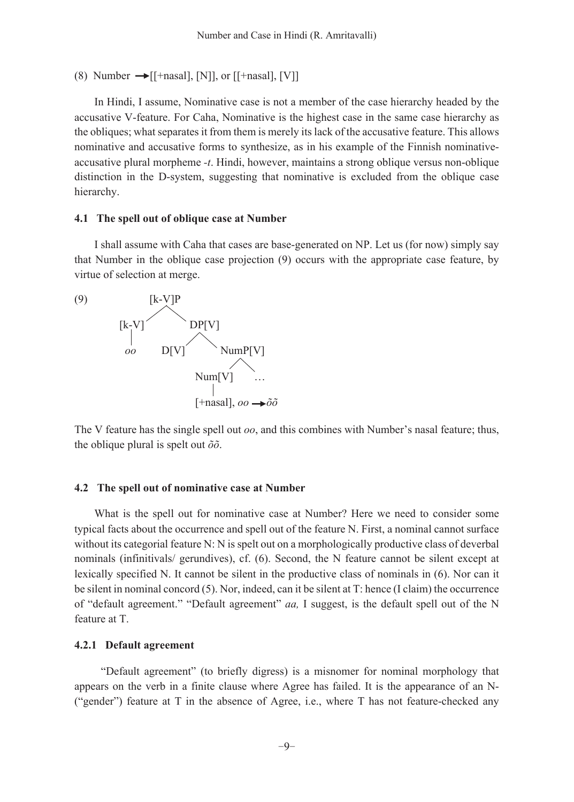(8) Number  $\rightarrow$  [[+nasal], [N]], or [[+nasal], [V]]

In Hindi, I assume, Nominative case is not a member of the case hierarchy headed by the accusative V-feature. For Caha, Nominative is the highest case in the same case hierarchy as the obliques; what separates it from them is merely its lack of the accusative feature. This allows nominative and accusative forms to synthesize, as in his example of the Finnish nominativeaccusative plural morpheme -t. Hindi, however, maintains a strong oblique versus non-oblique distinction in the D-system, suggesting that nominative is excluded from the oblique case hierarchy.

### 4.1 The spell out of oblique case at Number

I shall assume with Caha that cases are base-generated on NP. Let us (for now) simply say that Number in the oblique case projection (9) occurs with the appropriate case feature, by virtue of selection at merge.

 $(9)$ 



The V feature has the single spell out  $oo$ , and this combines with Number's nasal feature; thus, the oblique plural is spelt out  $\delta\delta$ .

#### 4.2 The spell out of nominative case at Number

What is the spell out for nominative case at Number? Here we need to consider some typical facts about the occurrence and spell out of the feature N. First, a nominal cannot surface without its categorial feature N: N is spelt out on a morphologically productive class of deverbal nominals (infinitivals/ gerundives), cf. (6). Second, the N feature cannot be silent except at lexically specified N. It cannot be silent in the productive class of nominals in (6). Nor can it be silent in nominal concord (5). Nor, indeed, can it be silent at T: hence (I claim) the occurrence of "default agreement." "Default agreement" aa, I suggest, is the default spell out of the N feature at T.

#### 4.2.1 Default agreement

"Default agreement" (to briefly digress) is a misnomer for nominal morphology that appears on the verb in a finite clause where Agree has failed. It is the appearance of an N-("gender") feature at T in the absence of Agree, i.e., where T has not feature-checked any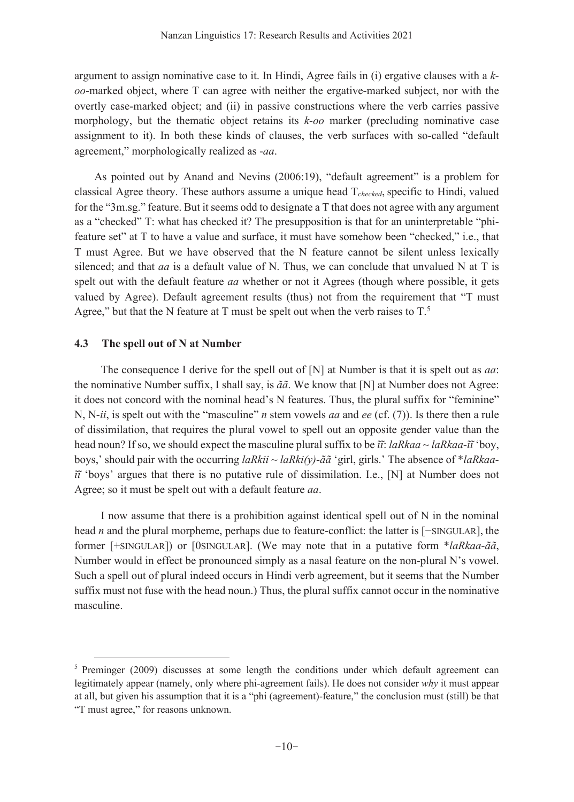argument to assign nominative case to it. In Hindi, Agree fails in (i) ergative clauses with a  $k$ oo-marked object, where T can agree with neither the ergative-marked subject, nor with the overtly case-marked object; and (ii) in passive constructions where the verb carries passive morphology, but the thematic object retains its k-oo marker (precluding nominative case assignment to it). In both these kinds of clauses, the verb surfaces with so-called "default" agreement," morphologically realized as -aa.

As pointed out by Anand and Nevins (2006:19), "default agreement" is a problem for classical Agree theory. These authors assume a unique head  $T_{checked}$ , specific to Hindi, valued for the "3m.sg." feature. But it seems odd to designate a T that does not agree with any argument as a "checked" T: what has checked it? The presupposition is that for an uninterpretable "phifeature set" at T to have a value and surface, it must have somehow been "checked," *i.e.*, that T must Agree. But we have observed that the N feature cannot be silent unless lexically silenced; and that  $aa$  is a default value of N. Thus, we can conclude that unvalued N at T is spelt out with the default feature *aa* whether or not it Agrees (though where possible, it gets valued by Agree). Default agreement results (thus) not from the requirement that "T must Agree," but that the N feature at T must be spelt out when the verb raises to  $T^5$ .

#### $4.3$ The spell out of N at Number

The consequence I derive for the spell out of  $[N]$  at Number is that it is spelt out as *aa*: the nominative Number suffix, I shall say, is  $\tilde{a}\tilde{a}$ . We know that [N] at Number does not Agree: it does not concord with the nominal head's N features. Thus, the plural suffix for "feminine" N, N-*ii*, is spelt out with the "masculine" *n* stem vowels *aa* and *ee* (cf. (7)). Is there then a rule of dissimilation, that requires the plural vowel to spell out an opposite gender value than the head noun? If so, we should expect the masculine plural suffix to be  $\tilde{u}$ : laRkaa ~ laRkaa- $\tilde{u}$  boy, boys,' should pair with the occurring laRkii ~ laRki(y)- $\tilde{a}$ " girl, girls.' The absence of \*laRkaa- $\tilde{u}$  'boys' argues that there is no putative rule of dissimilation. I.e., [N] at Number does not Agree; so it must be spelt out with a default feature *aa*.

I now assume that there is a prohibition against identical spell out of N in the nominal head  $n$  and the plural morpheme, perhaps due to feature-conflict: the latter is  $[-\text{SINGULAR}]$ , the former [+SINGULAR]) or [0SINGULAR]. (We may note that in a putative form \*laRkaa-ãã, Number would in effect be pronounced simply as a nasal feature on the non-plural N's vowel. Such a spell out of plural indeed occurs in Hindi verb agreement, but it seems that the Number suffix must not fuse with the head noun.) Thus, the plural suffix cannot occur in the nominative masculine.

<sup>&</sup>lt;sup>5</sup> Preminger (2009) discusses at some length the conditions under which default agreement can legitimately appear (namely, only where phi-agreement fails). He does not consider why it must appear at all, but given his assumption that it is a "phi (agreement)-feature," the conclusion must (still) be that "T must agree," for reasons unknown.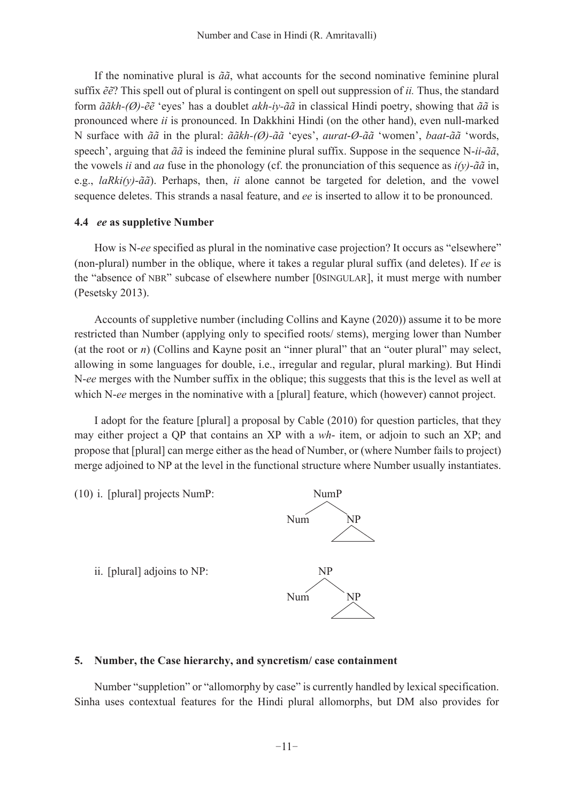If the nominative plural is  $\tilde{a}\tilde{a}$ , what accounts for the second nominative feminine plural suffix  $\tilde{e}\tilde{e}$ ? This spell out of plural is contingent on spell out suppression of *ii*. Thus, the standard form  $\tilde{a}\tilde{a}kh-(\emptyset)-\tilde{e}\tilde{e}$  'eyes' has a doublet  $akh-iv-\tilde{a}\tilde{a}$  in classical Hindi poetry, showing that  $\tilde{a}\tilde{a}$  is pronounced where *ii* is pronounced. In Dakkhini Hindi (on the other hand), even null-marked N surface with  $\tilde{a}\tilde{a}$  in the plural:  $\tilde{a}\tilde{a}kh(\emptyset)$ - $\tilde{a}\tilde{a}$  'eyes', *aurat-* $\emptyset$ *-* $\tilde{a}\tilde{a}$  'women', *baat-* $\tilde{a}\tilde{a}$  'words, speech', arguing that  $\tilde{a}\tilde{a}$  is indeed the feminine plural suffix. Suppose in the sequence N-ii- $\tilde{a}\tilde{a}$ , the vowels *ii* and *aa* fuse in the phonology (cf. the pronunciation of this sequence as  $i(y)$ - $\tilde{a}\tilde{a}$  in, e.g., laRki(y)-ãã). Perhaps, then, ii alone cannot be targeted for deletion, and the vowel sequence deletes. This strands a nasal feature, and ee is inserted to allow it to be pronounced.

## 4.4 ee as suppletive Number

How is N-ee specified as plural in the nominative case projection? It occurs as "elsewhere" (non-plural) number in the oblique, where it takes a regular plural suffix (and deletes). If ee is the "absence of NBR" subcase of elsewhere number [0SINGULAR], it must merge with number (Pesetsky 2013).

Accounts of suppletive number (including Collins and Kayne (2020)) assume it to be more restricted than Number (applying only to specified roots/ stems), merging lower than Number (at the root or  $n$ ) (Collins and Kayne posit an "inner plural" that an "outer plural" may select, allowing in some languages for double, i.e., irregular and regular, plural marking). But Hindi N-ee merges with the Number suffix in the oblique; this suggests that this is the level as well at which N-ee merges in the nominative with a [plural] feature, which (however) cannot project.

I adopt for the feature [plural] a proposal by Cable (2010) for question particles, that they may either project a QP that contains an XP with a wh-item, or adjoin to such an XP; and propose that [plural] can merge either as the head of Number, or (where Number fails to project) merge adjoined to NP at the level in the functional structure where Number usually instantiates.



# 5. Number, the Case hierarchy, and syncretism/case containment

Number "suppletion" or "allomorphy by case" is currently handled by lexical specification. Sinha uses contextual features for the Hindi plural allomorphs, but DM also provides for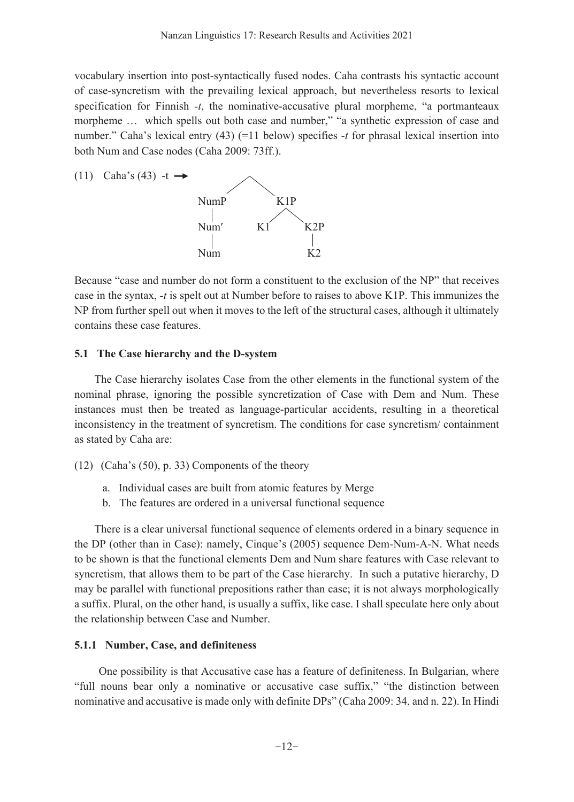vocabulary insertion into post-syntactically fused nodes. Caha contrasts his syntactic account of case-syncretism with the prevailing lexical approach, but nevertheless resorts to lexical specification for Finnish -t, the nominative-accusative plural morpheme, "a portmanteaux morpheme ... which spells out both case and number," "a synthetic expression of case and number." Caha's lexical entry (43)  $(=11$  below) specifies -t for phrasal lexical insertion into both Num and Case nodes (Caha 2009: 73ff.).



Because "case and number do not form a constituent to the exclusion of the NP" that receives case in the syntax, -t is spelt out at Number before to raises to above K1P. This immunizes the NP from further spell out when it moves to the left of the structural cases, although it ultimately contains these case features.

#### 5.1 The Case hierarchy and the D-system

The Case hierarchy isolates Case from the other elements in the functional system of the nominal phrase, ignoring the possible syncretization of Case with Dem and Num. These instances must then be treated as language-particular accidents, resulting in a theoretical inconsistency in the treatment of syncretism. The conditions for case syncretism/containment as stated by Caha are:

- (12) (Caha's (50), p. 33) Components of the theory
	- a. Individual cases are built from atomic features by Merge
	- b. The features are ordered in a universal functional sequence

There is a clear universal functional sequence of elements ordered in a binary sequence in the DP (other than in Case): namely, Cinque's (2005) sequence Dem-Num-A-N. What needs to be shown is that the functional elements Dem and Num share features with Case relevant to syncretism, that allows them to be part of the Case hierarchy. In such a putative hierarchy, D may be parallel with functional prepositions rather than case; it is not always morphologically a suffix. Plural, on the other hand, is usually a suffix, like case. I shall speculate here only about the relationship between Case and Number.

### **5.1.1 Number, Case, and definiteness**

One possibility is that Accusative case has a feature of definiteness. In Bulgarian, where "full nouns bear only a nominative or accusative case suffix," "the distinction between nominative and accusative is made only with definite DPs" (Caha 2009: 34, and n. 22). In Hindi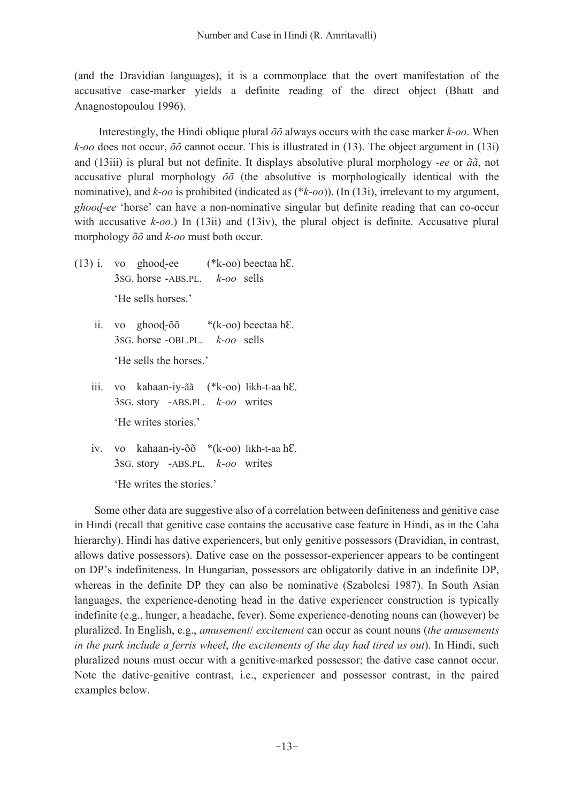(and the Dravidian languages), it is a commonplace that the overt manifestation of the accusative case-marker yields a definite reading of the direct object (Bhatt and Anagnostopoulou 1996).

Interestingly, the Hindi oblique plural  $\delta \delta$  always occurs with the case marker k-oo. When k-oo does not occur,  $\delta\delta$  cannot occur. This is illustrated in (13). The object argument in (13i) and (13iii) is plural but not definite. It displays absolutive plural morphology -ee or  $\tilde{a}\tilde{a}$ , not accusative plural morphology  $\delta\delta$  (the absolutive is morphologically identical with the nominative), and  $k$ -oo is prohibited (indicated as  $(*k$ -oo)). (In (13i), irrelevant to my argument, *ghood-ee* 'horse' can have a non-nominative singular but definite reading that can co-occur with accusative  $k$ -oo.) In (13ii) and (13iv), the plural object is definite. Accusative plural morphology  $\delta\delta$  and  $k$ -oo must both occur.

- (\*k-oo) beectaa hE.  $(13)$  i. vo ghood-ee 3sG. horse -ABS.PL.  $k$ -oo sells 'He sells horses.'
	- ii. vo ghood-õõ  $*(k$ -oo) beectaa hE. 3sG, horse -OBL, PL,  $k$ -oo sells 'He sells the horses'
	- iii. vo kahaan-iy-ãã (\*k-oo) likh-t-aa hE. 3sG. story -ABS.PL. k-oo writes 'He writes stories.'
	- iv. vo kahaan-iy-õõ \*(k-oo) likh-t-aa hE. 3sG. story -ABS.PL. k-oo writes

'He writes the stories.'

Some other data are suggestive also of a correlation between definiteness and genitive case in Hindi (recall that genitive case contains the accusative case feature in Hindi, as in the Caha hierarchy). Hindi has dative experiencers, but only genitive possessors (Dravidian, in contrast, allows dative possessors). Dative case on the possessor-experiencer appears to be contingent on DP's indefiniteness. In Hungarian, possessors are obligatorily dative in an indefinite DP, whereas in the definite DP they can also be nominative (Szabolcsi 1987). In South Asian languages, the experience-denoting head in the dative experiencer construction is typically indefinite (e.g., hunger, a headache, fever). Some experience-denoting nouns can (however) be pluralized. In English, e.g., amusement/ excitement can occur as count nouns (the amusements in the park include a ferris wheel, the excitements of the day had tired us out). In Hindi, such pluralized nouns must occur with a genitive-marked possessor; the dative case cannot occur. Note the dative-genitive contrast, i.e., experiencer and possessor contrast, in the paired examples below.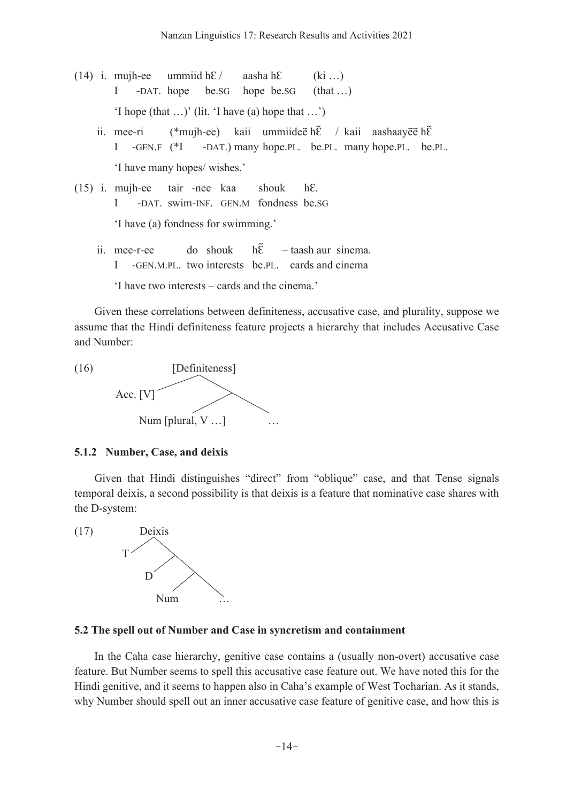(14) i. mujh-ee ummiid  $hE/$ aasha hE  $(ki \ldots)$ -DAT. hope  $\overline{I}$  $be.$ s $G$ hope be.sG  $(hat...)$ 'I hope (that ...)' (lit. 'I have (a) hope that ...') (\*mujh-ee) kaii ummiidee h $\tilde{\epsilon}$  / kaii aashaayee h $\tilde{\epsilon}$ ii. mee-ri  $I - GEN.F ( *I)$ -DAT.) many hope. PL. be. PL. many hope. PL. be. PL. 'I have many hopes/ wishes.'  $(15)$  i. mujh-ee tair -nee kaa shouk  $hE$ . -DAT. swim-INF. GEN.M fondness be.SG Ι 'I have (a) fondness for swimming.' ii. mee-r-ee do shouk hÊ - taash aur sinema. I -GEN.M.PL. two interests be.PL. cards and cinema

'I have two interests – cards and the cinema.'

Given these correlations between definiteness, accusative case, and plurality, suppose we assume that the Hindi definiteness feature projects a hierarchy that includes Accusative Case and Number:

[Definiteness]  $(16)$ Acc.  $[V]$ Num [plural, V ...]

#### 5.1.2 Number, Case, and deixis

Given that Hindi distinguishes "direct" from "oblique" case, and that Tense signals temporal deixis, a second possibility is that deixis is a feature that nominative case shares with the D-system:



#### 5.2 The spell out of Number and Case in syncretism and containment

In the Caha case hierarchy, genitive case contains a (usually non-overt) accusative case feature. But Number seems to spell this accusative case feature out. We have noted this for the Hindi genitive, and it seems to happen also in Caha's example of West Tocharian. As it stands, why Number should spell out an inner accusative case feature of genitive case, and how this is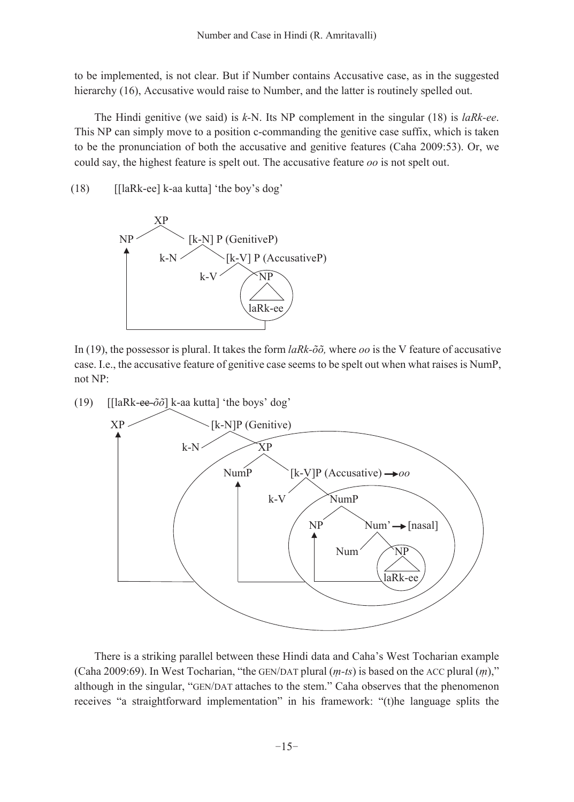to be implemented, is not clear. But if Number contains Accusative case, as in the suggested hierarchy (16), Accusative would raise to Number, and the latter is routinely spelled out.

The Hindi genitive (we said) is  $k$ -N. Its NP complement in the singular (18) is *laRk-ee*. This NP can simply move to a position c-commanding the genitive case suffix, which is taken to be the pronunciation of both the accusative and genitive features (Caha 2009:53). Or, we could say, the highest feature is spelt out. The accusative feature oo is not spelt out.

[[laRk-ee] k-aa kutta] 'the boy's dog'  $(18)$ 



In (19), the possessor is plural. It takes the form  $l\alpha Rk-\tilde{\alpha}\tilde{\alpha}$ , where  $\alpha\alpha$  is the V feature of accusative case. I.e., the accusative feature of genitive case seems to be spelt out when what raises is NumP, not NP:



There is a striking parallel between these Hindi data and Caha's West Tocharian example (Caha 2009:69). In West Tocharian, "the GEN/DAT plural  $(m-ts)$  is based on the ACC plural  $(m)$ ," although in the singular, "GEN/DAT attaches to the stem." Caha observes that the phenomenon receives "a straightforward implementation" in his framework: "(t)he language splits the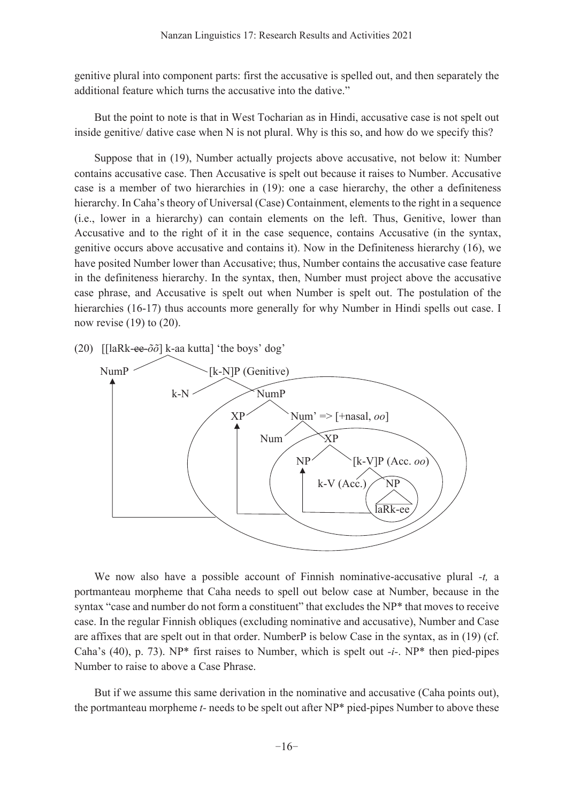genitive plural into component parts: first the accusative is spelled out, and then separately the additional feature which turns the accusative into the dative."

But the point to note is that in West Tocharian as in Hindi, accusative case is not spelt out inside genitive/ dative case when N is not plural. Why is this so, and how do we specify this?

Suppose that in (19), Number actually projects above accusative, not below it: Number contains accusative case. Then Accusative is spelt out because it raises to Number. Accusative case is a member of two hierarchies in (19): one a case hierarchy, the other a definiteness hierarchy. In Caha's theory of Universal (Case) Containment, elements to the right in a sequence (i.e., lower in a hierarchy) can contain elements on the left. Thus, Genitive, lower than Accusative and to the right of it in the case sequence, contains Accusative (in the syntax, genitive occurs above accusative and contains it). Now in the Definiteness hierarchy (16), we have posited Number lower than Accusative; thus, Number contains the accusative case feature in the definiteness hierarchy. In the syntax, then, Number must project above the accusative case phrase, and Accusative is spelt out when Number is spelt out. The postulation of the hierarchies (16-17) thus accounts more generally for why Number in Hindi spells out case. I now revise  $(19)$  to  $(20)$ .

(20)  $\left[\frac{\text{[lark} - \text{ee}-\tilde{\sigma}\tilde{\sigma}\right]k$ -aa kutta] 'the boys' dog'



We now also have a possible account of Finnish nominative-accusative plural -t. a portmanteau morpheme that Caha needs to spell out below case at Number, because in the syntax "case and number do not form a constituent" that excludes the NP\* that moves to receive case. In the regular Finnish obliques (excluding nominative and accusative), Number and Case are affixes that are spelt out in that order. NumberP is below Case in the syntax, as in (19) (cf. Caha's (40), p. 73). NP\* first raises to Number, which is spelt out  $-i$ . NP\* then pied-pipes Number to raise to above a Case Phrase.

But if we assume this same derivation in the nominative and accusative (Caha points out), the portmanteau morpheme t- needs to be spelt out after NP\* pied-pipes Number to above these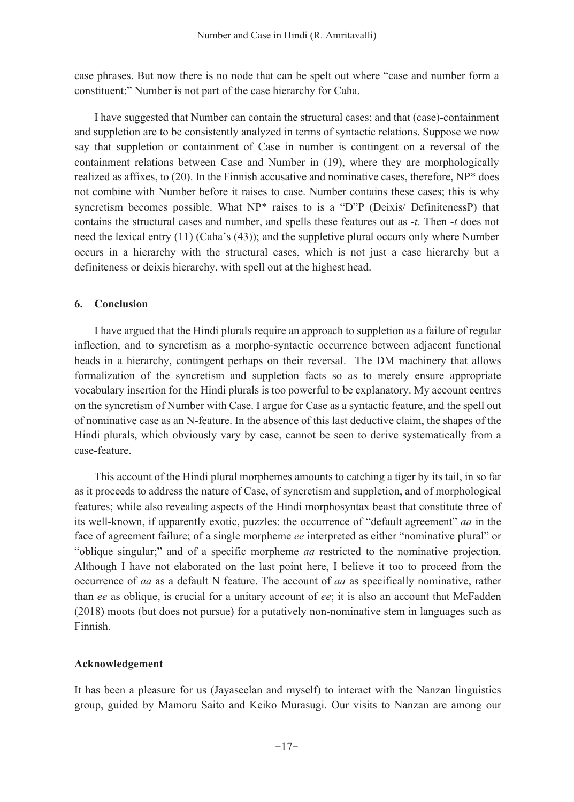case phrases. But now there is no node that can be spelt out where "case and number form a constituent:" Number is not part of the case hierarchy for Caha.

I have suggested that Number can contain the structural cases; and that (case)-containment and suppletion are to be consistently analyzed in terms of syntactic relations. Suppose we now say that suppletion or containment of Case in number is contingent on a reversal of the containment relations between Case and Number in (19), where they are morphologically realized as affixes, to (20). In the Finnish accusative and nominative cases, therefore, NP\* does not combine with Number before it raises to case. Number contains these cases; this is why syncretism becomes possible. What NP\* raises to is a "D"P (Deixis/ DefinitenessP) that contains the structural cases and number, and spells these features out as -t. Then -t does not need the lexical entry (11) (Caha's (43)); and the suppletive plural occurs only where Number occurs in a hierarchy with the structural cases, which is not just a case hierarchy but a definiteness or deixis hierarchy, with spell out at the highest head.

# 6. Conclusion

I have argued that the Hindi plurals require an approach to suppletion as a failure of regular inflection, and to syncretism as a morpho-syntactic occurrence between adjacent functional heads in a hierarchy, contingent perhaps on their reversal. The DM machinery that allows formalization of the syncretism and suppletion facts so as to merely ensure appropriate vocabulary insertion for the Hindi plurals is too powerful to be explanatory. My account centres on the syncretism of Number with Case. I argue for Case as a syntactic feature, and the spell out of nominative case as an N-feature. In the absence of this last deductive claim, the shapes of the Hindi plurals, which obviously vary by case, cannot be seen to derive systematically from a case-feature.

This account of the Hindi plural morphemes amounts to catching a tiger by its tail, in so far as it proceeds to address the nature of Case, of syncretism and suppletion, and of morphological features; while also revealing aspects of the Hindi morphosyntax beast that constitute three of its well-known, if apparently exotic, puzzles: the occurrence of "default agreement" aa in the face of agreement failure; of a single morpheme ee interpreted as either "nominative plural" or "oblique singular;" and of a specific morpheme *aa* restricted to the nominative projection. Although I have not elaborated on the last point here, I believe it too to proceed from the occurrence of *aa* as a default N feature. The account of *aa* as specifically nominative, rather than ee as oblique, is crucial for a unitary account of ee; it is also an account that McFadden (2018) moots (but does not pursue) for a putatively non-nominative stem in languages such as Finnish.

# Acknowledgement

It has been a pleasure for us (Jayaseelan and myself) to interact with the Nanzan linguistics group, guided by Mamoru Saito and Keiko Murasugi. Our visits to Nanzan are among our